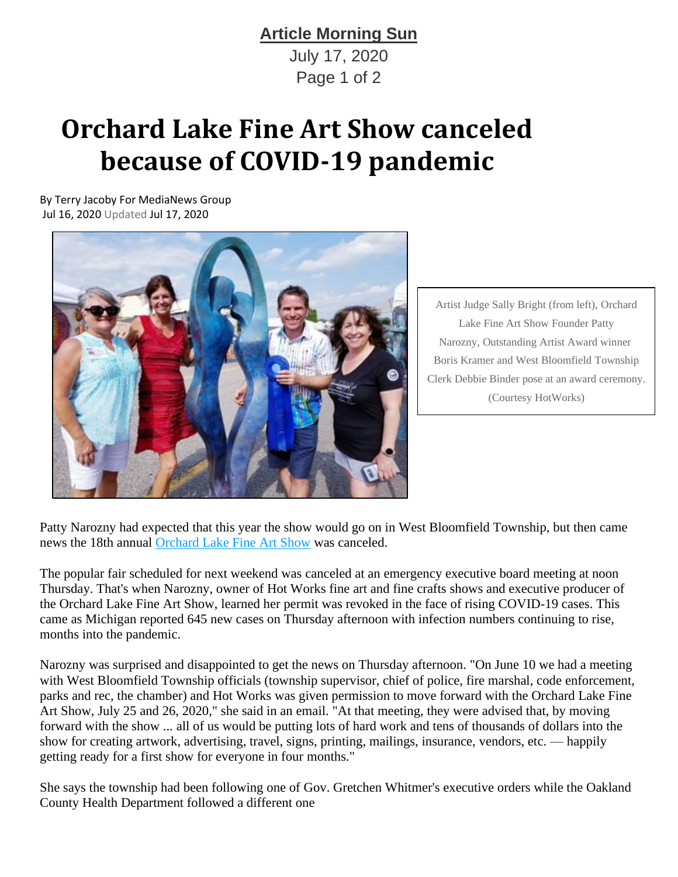## **Article Morning Sun**

July 17, 2020 Page 1 of 2

## **Orchard Lake Fine Art Show canceled because of COVID-19 pandemic**

By Terry Jacoby For MediaNews Group Jul 16, 2020 Updated Jul 17, 2020



Artist Judge Sally Bright (from left), Orchard Lake Fine Art Show Founder Patty Narozny, Outstanding Artist Award winner Boris Kramer and West Bloomfield Township Clerk Debbie Binder pose at an award ceremony. (Courtesy HotWorks)

Patty Narozny had expected that this year the show would go on in West Bloomfield Township, but then came news the 18th annual [Orchard Lake Fine Art Show](http://hotworks.org/events/orchard-lake-fine-art-show) was canceled.

The popular fair scheduled for next weekend was canceled at an emergency executive board meeting at noon Thursday. That's when Narozny, owner of Hot Works fine art and fine crafts shows and executive producer of the Orchard Lake Fine Art Show, learned her permit was revoked in the face of rising COVID-19 cases. This came as Michigan reported 645 new cases on Thursday afternoon with infection numbers continuing to rise, months into the pandemic.

Narozny was surprised and disappointed to get the news on Thursday afternoon. "On June 10 we had a meeting with West Bloomfield Township officials (township supervisor, chief of police, fire marshal, code enforcement, parks and rec, the chamber) and Hot Works was given permission to move forward with the Orchard Lake Fine Art Show, July 25 and 26, 2020," she said in an email. "At that meeting, they were advised that, by moving forward with the show ... all of us would be putting lots of hard work and tens of thousands of dollars into the show for creating artwork, advertising, travel, signs, printing, mailings, insurance, vendors, etc. — happily getting ready for a first show for everyone in four months."

She says the township had been following one of Gov. Gretchen Whitmer's executive orders while the Oakland County Health Department followed a different one